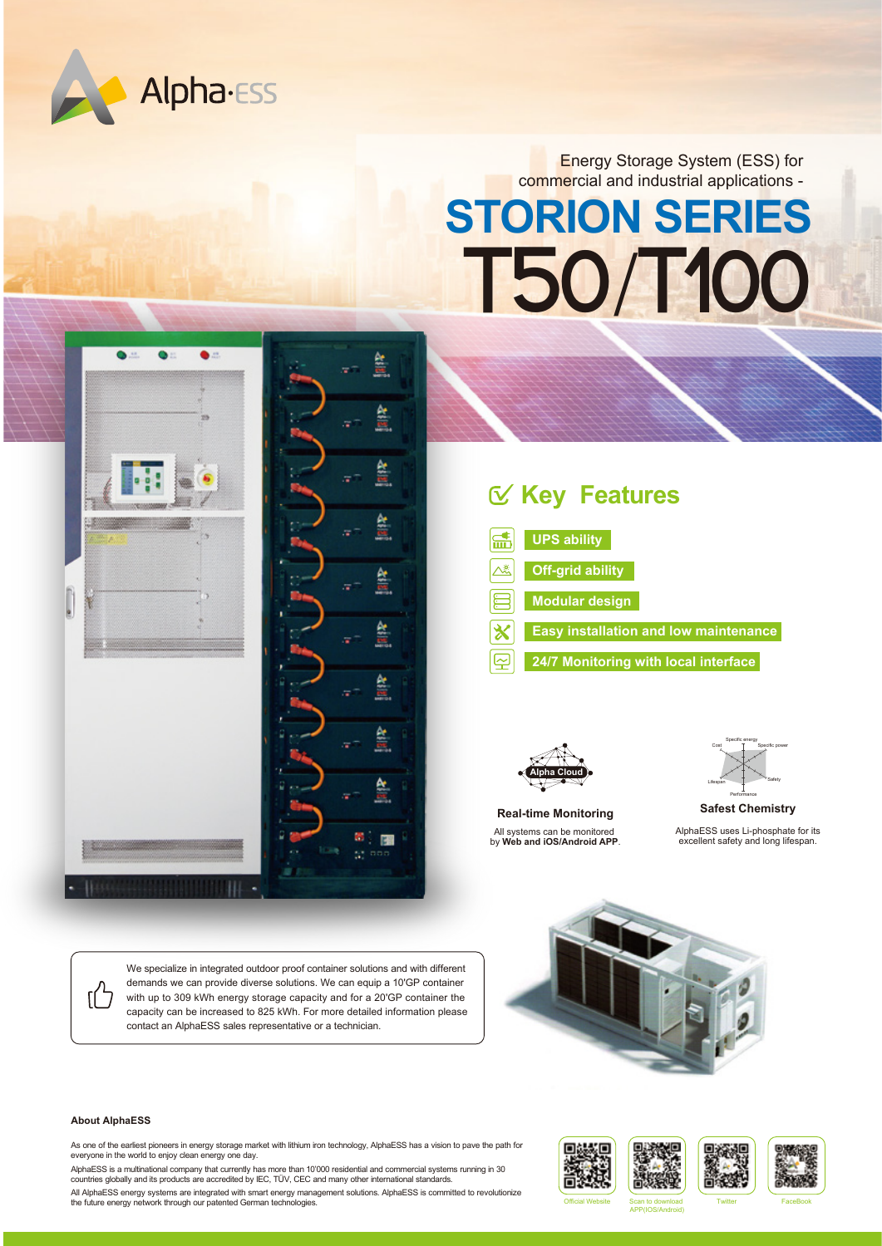

Energy Storage System (ESS) for commercial and industrial applications -

# **STORION SERIES T50**/**T100**



# **Key Features**

- 孟 **UPS ability**
	- **Off-grid ability**
	- **Modular design**
	- **Easy installation and low maintenance**
		- **24/7 Monitoring with local interface**



All systems can be monitored by **Web and iOS/Android APP**. **Real-time Monitoring**



AlphaESS uses Li-phosphate for its excellent safety and long lifespan. **Safest Chemistry**

We specialize in integrated outdoor proof container solutions and with different demands we can provide diverse solutions. We can equip a 10'GP container with up to 309 kWh energy storage capacity and for a 20'GP container the capacity can be increased to 825 kWh. For more detailed information please contact an AlphaESS sales representative or a technician.



#### **About AlphaESS**

ſÍ

As one of the earliest pioneers in energy storage market with lithium iron technology, AlphaESS has a vision to pave the path for everyone in the world to enjoy clean energy one day.

AlphaESS is a multinational company that currently has more than 10'000 residential and commercial systems running in 30 countries globally and its products are accredited by IEC, TÜV, CEC and many other international standards.

All AlphaESS energy systems are integrated with smart energy management solutions. AlphaESS is committed to revolutionize the future energy network through our patented German technologies.



APP(IOS/Android)